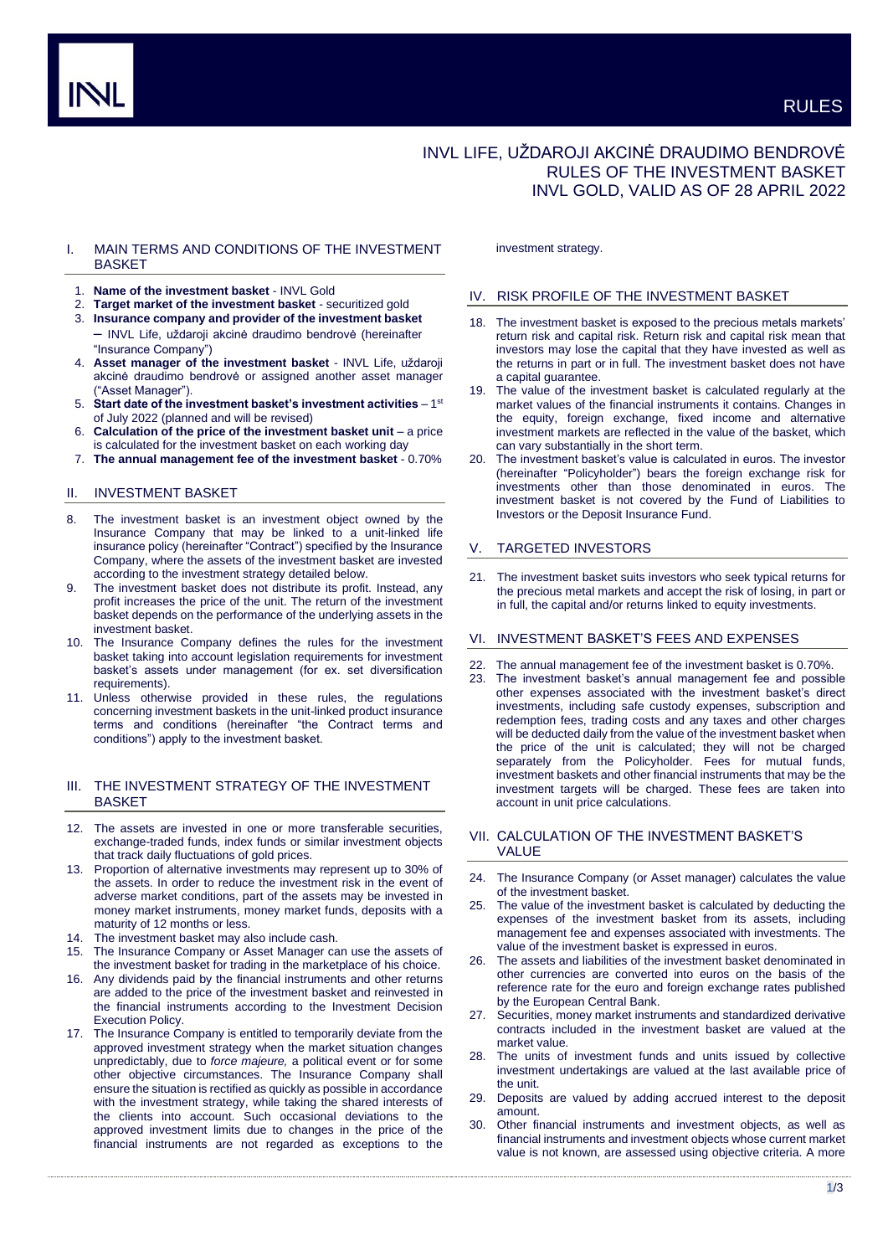# INVL LIFE, UŽDAROJI AKCINĖ DRAUDIMO BENDROVĖ RULES OF THE INVESTMENT BASKET INVL GOLD, VALID AS OF 28 APRIL 2022

# I. MAIN TERMS AND CONDITIONS OF THE INVESTMENT BASKET

- 1. **Name of the investment basket** INVL Gold
- 2. **Target market of the investment basket** securitized gold
- 3. **Insurance company and provider of the investment basket** – INVL Life, uždaroji akcinė draudimo bendrovė (hereinafter "Insurance Company")
- 4. **Asset manager of the investment basket** INVL Life, uždaroji akcinė draudimo bendrovė or assigned another asset manager ("Asset Manager").
- 5. Start date of the investment basket's investment activities 1<sup>st</sup> of July 2022 (planned and will be revised)
- 6. **Calculation of the price of the investment basket unit**  a price is calculated for the investment basket on each working day
- 7. **The annual management fee of the investment basket** 0.70%

# II. INVESTMENT BASKET

- 8. The investment basket is an investment object owned by the Insurance Company that may be linked to a unit-linked life insurance policy (hereinafter "Contract") specified by the Insurance Company, where the assets of the investment basket are invested according to the investment strategy detailed below.
- 9. The investment basket does not distribute its profit. Instead, any profit increases the price of the unit. The return of the investment basket depends on the performance of the underlying assets in the investment basket.
- 10. The Insurance Company defines the rules for the investment basket taking into account legislation requirements for investment basket's assets under management (for ex. set diversification requirements).
- 11. Unless otherwise provided in these rules, the regulations concerning investment baskets in the unit-linked product insurance terms and conditions (hereinafter "the Contract terms and conditions") apply to the investment basket.

# III. THE INVESTMENT STRATEGY OF THE INVESTMENT BASKET

- 12. The assets are invested in one or more transferable securities, exchange-traded funds, index funds or similar investment objects that track daily fluctuations of gold prices.
- 13. Proportion of alternative investments may represent up to 30% of the assets. In order to reduce the investment risk in the event of adverse market conditions, part of the assets may be invested in money market instruments, money market funds, deposits with a maturity of 12 months or less.
- The investment basket may also include cash.
- 15. The Insurance Company or Asset Manager can use the assets of the investment basket for trading in the marketplace of his choice.
- Any dividends paid by the financial instruments and other returns are added to the price of the investment basket and reinvested in the financial instruments according to the Investment Decision Execution Policy.
- 17. The Insurance Company is entitled to temporarily deviate from the approved investment strategy when the market situation changes unpredictably, due to *force majeure,* a political event or for some other objective circumstances. The Insurance Company shall ensure the situation is rectified as quickly as possible in accordance with the investment strategy, while taking the shared interests of the clients into account. Such occasional deviations to the approved investment limits due to changes in the price of the financial instruments are not regarded as exceptions to the

investment strategy.

#### IV. RISK PROFILE OF THE INVESTMENT BASKET

- 18. The investment basket is exposed to the precious metals markets' return risk and capital risk. Return risk and capital risk mean that investors may lose the capital that they have invested as well as the returns in part or in full. The investment basket does not have a capital guarantee.
- 19. The value of the investment basket is calculated regularly at the market values of the financial instruments it contains. Changes in the equity, foreign exchange, fixed income and alternative investment markets are reflected in the value of the basket, which can vary substantially in the short term.
- 20. The investment basket's value is calculated in euros. The investor (hereinafter "Policyholder") bears the foreign exchange risk for investments other than those denominated in euros. The investment basket is not covered by the Fund of Liabilities to Investors or the Deposit Insurance Fund.

# V. TARGETED INVESTORS

21. The investment basket suits investors who seek typical returns for the precious metal markets and accept the risk of losing, in part or in full, the capital and/or returns linked to equity investments.

#### VI. INVESTMENT BASKET'S FEES AND EXPENSES

- The annual management fee of the investment basket is 0.70%.
- 23. The investment basket's annual management fee and possible other expenses associated with the investment basket's direct investments, including safe custody expenses, subscription and redemption fees, trading costs and any taxes and other charges will be deducted daily from the value of the investment basket when the price of the unit is calculated; they will not be charged separately from the Policyholder. Fees for mutual funds, investment baskets and other financial instruments that may be the investment targets will be charged. These fees are taken into account in unit price calculations.

# VII. CALCULATION OF THE INVESTMENT BASKET'S VALUE

- 24. The Insurance Company (or Asset manager) calculates the value of the investment basket.
- 25. The value of the investment basket is calculated by deducting the expenses of the investment basket from its assets, including management fee and expenses associated with investments. The value of the investment basket is expressed in euros.
- 26. The assets and liabilities of the investment basket denominated in other currencies are converted into euros on the basis of the reference rate for the euro and foreign exchange rates published by the European Central Bank.
- 27. Securities, money market instruments and standardized derivative contracts included in the investment basket are valued at the market value.
- 28. The units of investment funds and units issued by collective investment undertakings are valued at the last available price of the unit.
- 29. Deposits are valued by adding accrued interest to the deposit amount.
- 30. Other financial instruments and investment objects, as well as financial instruments and investment objects whose current market value is not known, are assessed using objective criteria. A more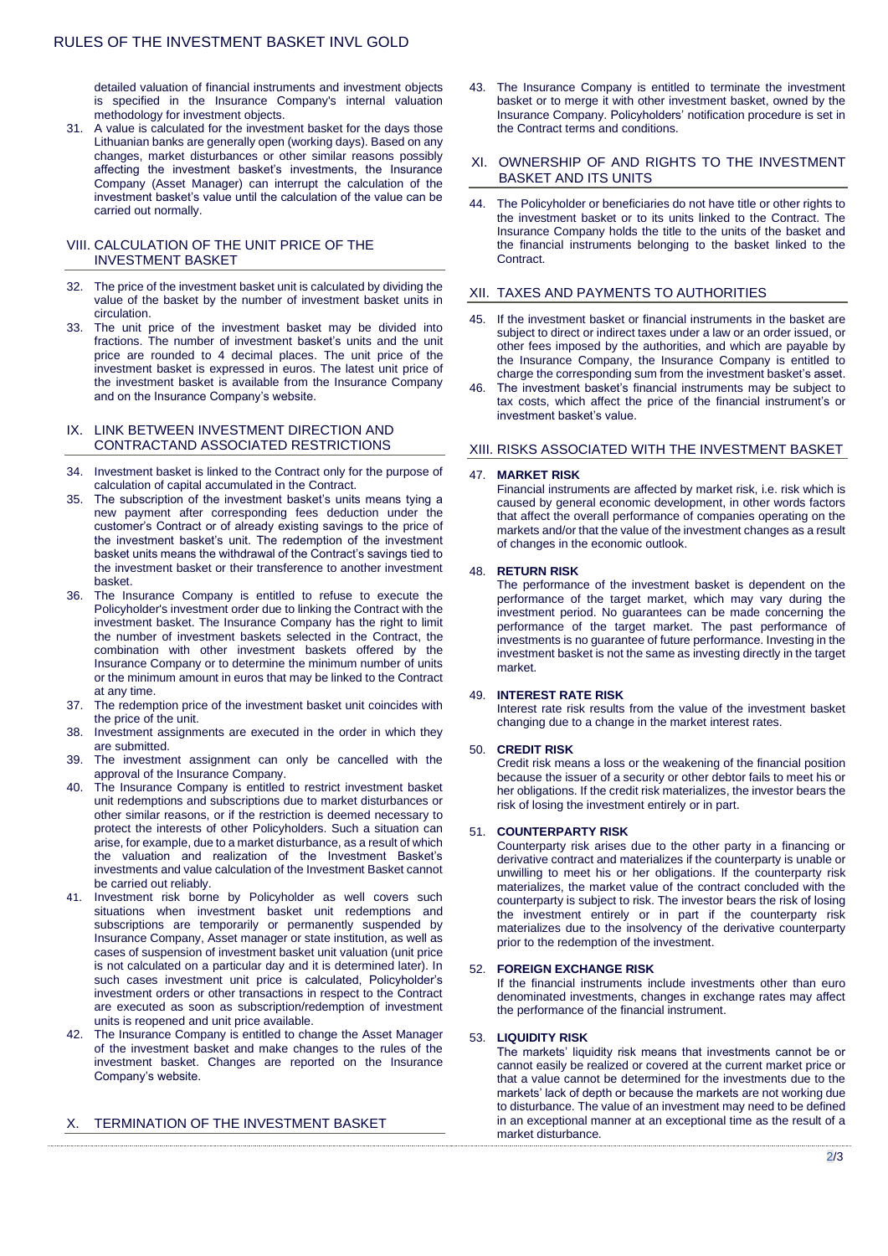detailed valuation of financial instruments and investment objects is specified in the Insurance Company's internal valuation methodology for investment objects.

31. A value is calculated for the investment basket for the days those Lithuanian banks are generally open (working days). Based on any changes, market disturbances or other similar reasons possibly affecting the investment basket's investments, the Insurance Company (Asset Manager) can interrupt the calculation of the investment basket's value until the calculation of the value can be carried out normally.

# VIII. CALCULATION OF THE UNIT PRICE OF THE INVESTMENT BASKET

- 32. The price of the investment basket unit is calculated by dividing the value of the basket by the number of investment basket units in circulation.
- 33. The unit price of the investment basket may be divided into fractions. The number of investment basket's units and the unit price are rounded to 4 decimal places. The unit price of the investment basket is expressed in euros. The latest unit price of the investment basket is available from the Insurance Company and on the Insurance Company's website.

# IX. LINK BETWEEN INVESTMENT DIRECTION AND CONTRACTAND ASSOCIATED RESTRICTIONS

- 34. Investment basket is linked to the Contract only for the purpose of calculation of capital accumulated in the Contract.
- 35. The subscription of the investment basket's units means tying a new payment after corresponding fees deduction under the customer's Contract or of already existing savings to the price of the investment basket's unit. The redemption of the investment basket units means the withdrawal of the Contract's savings tied to the investment basket or their transference to another investment basket.
- The Insurance Company is entitled to refuse to execute the Policyholder's investment order due to linking the Contract with the investment basket. The Insurance Company has the right to limit the number of investment baskets selected in the Contract, the combination with other investment baskets offered by the Insurance Company or to determine the minimum number of units or the minimum amount in euros that may be linked to the Contract at any time.
- 37. The redemption price of the investment basket unit coincides with the price of the unit.
- 38. Investment assignments are executed in the order in which they are submitted.
- 39. The investment assignment can only be cancelled with the approval of the Insurance Company.
- 40. The Insurance Company is entitled to restrict investment basket unit redemptions and subscriptions due to market disturbances or other similar reasons, or if the restriction is deemed necessary to protect the interests of other Policyholders. Such a situation can arise, for example, due to a market disturbance, as a result of which the valuation and realization of the Investment Basket's investments and value calculation of the Investment Basket cannot be carried out reliably.
- 41. Investment risk borne by Policyholder as well covers such situations when investment basket unit redemptions and subscriptions are temporarily or permanently suspended by Insurance Company, Asset manager or state institution, as well as cases of suspension of investment basket unit valuation (unit price is not calculated on a particular day and it is determined later). In such cases investment unit price is calculated, Policyholder's investment orders or other transactions in respect to the Contract are executed as soon as subscription/redemption of investment units is reopened and unit price available.
- 42. The Insurance Company is entitled to change the Asset Manager of the investment basket and make changes to the rules of the investment basket. Changes are reported on the Insurance Company's website.

# X. TERMINATION OF THE INVESTMENT BASKET

43. The Insurance Company is entitled to terminate the investment basket or to merge it with other investment basket, owned by the Insurance Company. Policyholders' notification procedure is set in the Contract terms and conditions.

#### XI. OWNERSHIP OF AND RIGHTS TO THE INVESTMENT BASKET AND ITS UNITS

44. The Policyholder or beneficiaries do not have title or other rights to the investment basket or to its units linked to the Contract. The Insurance Company holds the title to the units of the basket and the financial instruments belonging to the basket linked to the Contract.

# XII. TAXES AND PAYMENTS TO AUTHORITIES

- If the investment basket or financial instruments in the basket are subject to direct or indirect taxes under a law or an order issued, or other fees imposed by the authorities, and which are payable by the Insurance Company, the Insurance Company is entitled to charge the corresponding sum from the investment basket's asset.
- 46. The investment basket's financial instruments may be subject to tax costs, which affect the price of the financial instrument's or investment basket's value.

# XIII. RISKS ASSOCIATED WITH THE INVESTMENT BASKET

#### 47. **MARKET RISK**

Financial instruments are affected by market risk, i.e. risk which is caused by general economic development, in other words factors that affect the overall performance of companies operating on the markets and/or that the value of the investment changes as a result of changes in the economic outlook.

#### 48. **RETURN RISK**

The performance of the investment basket is dependent on the performance of the target market, which may vary during the investment period. No guarantees can be made concerning the performance of the target market. The past performance of investments is no guarantee of future performance. Investing in the investment basket is not the same as investing directly in the target market.

#### 49. **INTEREST RATE RISK**

Interest rate risk results from the value of the investment basket changing due to a change in the market interest rates.

#### 50. **CREDIT RISK**

Credit risk means a loss or the weakening of the financial position because the issuer of a security or other debtor fails to meet his or her obligations. If the credit risk materializes, the investor bears the risk of losing the investment entirely or in part.

#### 51. **COUNTERPARTY RISK**

Counterparty risk arises due to the other party in a financing or derivative contract and materializes if the counterparty is unable or unwilling to meet his or her obligations. If the counterparty risk materializes, the market value of the contract concluded with the counterparty is subject to risk. The investor bears the risk of losing the investment entirely or in part if the counterparty risk materializes due to the insolvency of the derivative counterparty prior to the redemption of the investment.

# 52. **FOREIGN EXCHANGE RISK**

If the financial instruments include investments other than euro denominated investments, changes in exchange rates may affect the performance of the financial instrument.

#### 53. **LIQUIDITY RISK**

The markets' liquidity risk means that investments cannot be or cannot easily be realized or covered at the current market price or that a value cannot be determined for the investments due to the markets' lack of depth or because the markets are not working due to disturbance. The value of an investment may need to be defined in an exceptional manner at an exceptional time as the result of a market disturbance.